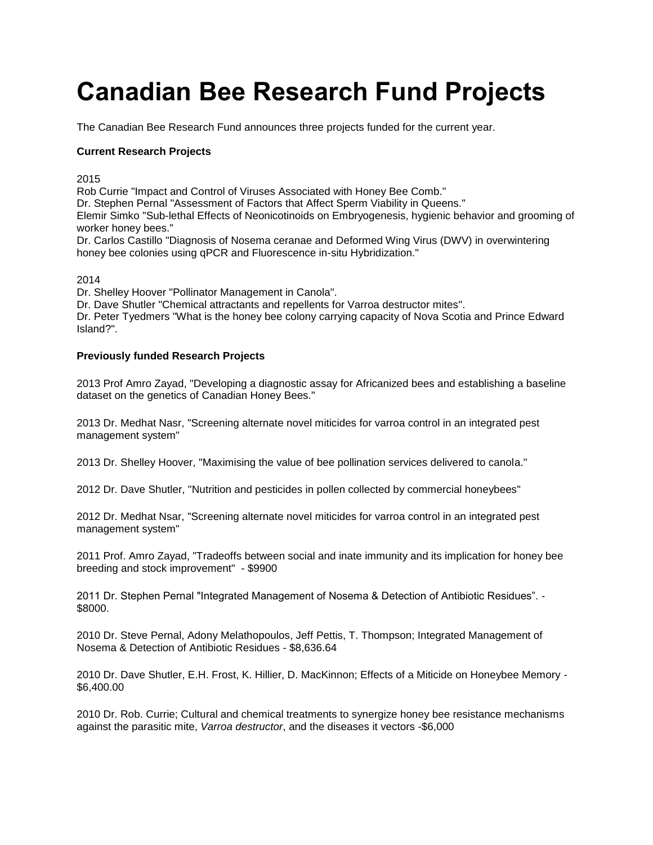## **Canadian Bee Research Fund Projects**

The Canadian Bee Research Fund announces three projects funded for the current year.

## **Current Research Projects**

2015

Rob Currie "Impact and Control of Viruses Associated with Honey Bee Comb."

Dr. Stephen Pernal "Assessment of Factors that Affect Sperm Viability in Queens."

Elemir Simko "Sub-lethal Effects of Neonicotinoids on Embryogenesis, hygienic behavior and grooming of worker honey bees."

Dr. Carlos Castillo "Diagnosis of Nosema ceranae and Deformed Wing Virus (DWV) in overwintering honey bee colonies using qPCR and Fluorescence in-situ Hybridization."

## 2014

Dr. Shelley Hoover "Pollinator Management in Canola".

Dr. Dave Shutler "Chemical attractants and repellents for Varroa destructor mites".

Dr. Peter Tyedmers "What is the honey bee colony carrying capacity of Nova Scotia and Prince Edward Island?".

## **Previously funded Research Projects**

2013 Prof Amro Zayad, "Developing a diagnostic assay for Africanized bees and establishing a baseline dataset on the genetics of Canadian Honey Bees."

2013 Dr. Medhat Nasr, "Screening alternate novel miticides for varroa control in an integrated pest management system"

2013 Dr. Shelley Hoover, "Maximising the value of bee pollination services delivered to canola."

2012 Dr. Dave Shutler, "Nutrition and pesticides in pollen collected by commercial honeybees"

2012 Dr. Medhat Nsar, "Screening alternate novel miticides for varroa control in an integrated pest management system"

2011 Prof. Amro Zayad, "Tradeoffs between social and inate immunity and its implication for honey bee breeding and stock improvement" - \$9900

2011 Dr. Stephen Pernal "Integrated Management of Nosema & Detection of Antibiotic Residues". - \$8000.

2010 Dr. Steve Pernal, Adony Melathopoulos, Jeff Pettis, T. Thompson; Integrated Management of Nosema & Detection of Antibiotic Residues - \$8,636.64

2010 Dr. Dave Shutler, E.H. Frost, K. Hillier, D. MacKinnon; Effects of a Miticide on Honeybee Memory - \$6,400.00

2010 Dr. Rob. Currie; Cultural and chemical treatments to synergize honey bee resistance mechanisms against the parasitic mite, *Varroa destructor*, and the diseases it vectors -\$6,000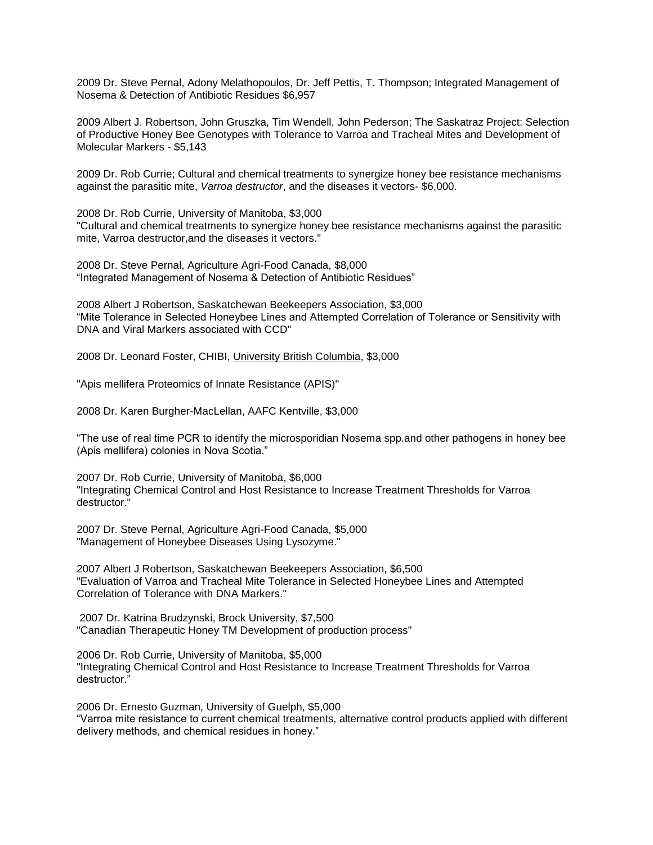2009 Dr. Steve Pernal, Adony Melathopoulos, Dr. Jeff Pettis, T. Thompson; Integrated Management of Nosema & Detection of Antibiotic Residues \$6,957

2009 Albert J. Robertson, John Gruszka, Tim Wendell, John Pederson; The Saskatraz Project: Selection of Productive Honey Bee Genotypes with Tolerance to Varroa and Tracheal Mites and Development of Molecular Markers - \$5,143

2009 Dr. Rob Currie; Cultural and chemical treatments to synergize honey bee resistance mechanisms against the parasitic mite, *Varroa destructor*, and the diseases it vectors- \$6,000.

2008 Dr. Rob Currie, University of Manitoba, \$3,000 "Cultural and chemical treatments to synergize honey bee resistance mechanisms against the parasitic mite, Varroa destructor,and the diseases it vectors."

2008 Dr. Steve Pernal, Agriculture Agri-Food Canada, \$8,000 "Integrated Management of Nosema & Detection of Antibiotic Residues"

2008 Albert J Robertson, Saskatchewan Beekeepers Association, \$3,000 "Mite Tolerance in Selected Honeybee Lines and Attempted Correlation of Tolerance or Sensitivity with DNA and Viral Markers associated with CCD"

2008 Dr. Leonard Foster, CHIBI, [University British Columbia,](http://www.chibi.ubc.ca/faculty/foster/research) \$3,000

"Apis mellifera Proteomics of Innate Resistance (APIS)"

2008 Dr. Karen Burgher-MacLellan, AAFC Kentville, \$3,000

"The use of real time PCR to identify the microsporidian Nosema spp.and other pathogens in honey bee (Apis mellifera) colonies in Nova Scotia."

2007 Dr. Rob Currie, University of Manitoba, \$6,000 "Integrating Chemical Control and Host Resistance to Increase Treatment Thresholds for Varroa destructor."

2007 Dr. Steve Pernal, Agriculture Agri-Food Canada, \$5,000 "Management of Honeybee Diseases Using Lysozyme."

2007 Albert J Robertson, Saskatchewan Beekeepers Association, \$6,500 "Evaluation of Varroa and Tracheal Mite Tolerance in Selected Honeybee Lines and Attempted Correlation of Tolerance with DNA Markers."

2007 Dr. Katrina Brudzynski, Brock University, \$7,500 "Canadian Therapeutic Honey TM Development of production process"

2006 Dr. Rob Currie, University of Manitoba, \$5,000 "Integrating Chemical Control and Host Resistance to Increase Treatment Thresholds for Varroa destructor."

2006 Dr. Ernesto Guzman, University of Guelph, \$5,000 "Varroa mite resistance to current chemical treatments, alternative control products applied with different delivery methods, and chemical residues in honey."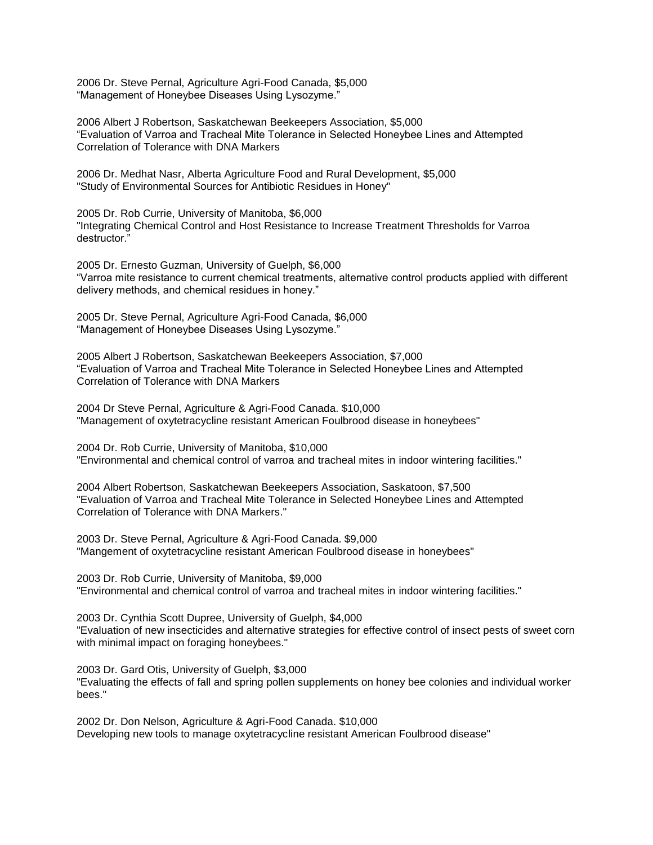2006 Dr. Steve Pernal, Agriculture Agri-Food Canada, \$5,000 "Management of Honeybee Diseases Using Lysozyme."

2006 Albert J Robertson, Saskatchewan Beekeepers Association, \$5,000 "Evaluation of Varroa and Tracheal Mite Tolerance in Selected Honeybee Lines and Attempted Correlation of Tolerance with DNA Markers

2006 Dr. Medhat Nasr, Alberta Agriculture Food and Rural Development, \$5,000 "Study of Environmental Sources for Antibiotic Residues in Honey"

2005 Dr. Rob Currie, University of Manitoba, \$6,000 "Integrating Chemical Control and Host Resistance to Increase Treatment Thresholds for Varroa destructor."

2005 Dr. Ernesto Guzman, University of Guelph, \$6,000 "Varroa mite resistance to current chemical treatments, alternative control products applied with different delivery methods, and chemical residues in honey."

2005 Dr. Steve Pernal, Agriculture Agri-Food Canada, \$6,000 "Management of Honeybee Diseases Using Lysozyme."

2005 Albert J Robertson, Saskatchewan Beekeepers Association, \$7,000 "Evaluation of Varroa and Tracheal Mite Tolerance in Selected Honeybee Lines and Attempted Correlation of Tolerance with DNA Markers

2004 Dr Steve Pernal, Agriculture & Agri-Food Canada. \$10,000 "Management of oxytetracycline resistant American Foulbrood disease in honeybees"

2004 Dr. Rob Currie, University of Manitoba, \$10,000 "Environmental and chemical control of varroa and tracheal mites in indoor wintering facilities."

2004 Albert Robertson, Saskatchewan Beekeepers Association, Saskatoon, \$7,500 "Evaluation of Varroa and Tracheal Mite Tolerance in Selected Honeybee Lines and Attempted Correlation of Tolerance with DNA Markers."

2003 Dr. Steve Pernal, Agriculture & Agri-Food Canada. \$9,000 "Mangement of oxytetracycline resistant American Foulbrood disease in honeybees"

2003 Dr. Rob Currie, University of Manitoba, \$9,000 "Environmental and chemical control of varroa and tracheal mites in indoor wintering facilities."

2003 Dr. Cynthia Scott Dupree, University of Guelph, \$4,000 "Evaluation of new insecticides and alternative strategies for effective control of insect pests of sweet corn with minimal impact on foraging honeybees."

2003 Dr. Gard Otis, University of Guelph, \$3,000 "Evaluating the effects of fall and spring pollen supplements on honey bee colonies and individual worker bees."

2002 Dr. Don Nelson, Agriculture & Agri-Food Canada. \$10,000 Developing new tools to manage oxytetracycline resistant American Foulbrood disease"